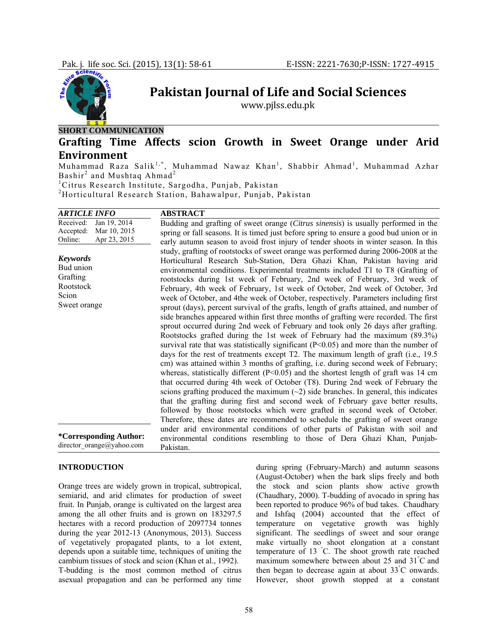

**Pakistan Journal of Life and Social Sciences**

www.pjlss.edu.pk

**SHORT COMMUNICATION**

# **Grafting Time Affects scion Growth in Sweet Orange under Arid Environment**

Muhammad Raza Salik<sup>1,\*</sup>, Muhammad Nawaz Khan<sup>1</sup>, Shabbir Ahmad<sup>1</sup>, Muhammad Azhar Bashir<sup>2</sup> and Mushtaq Ahmad<sup>2</sup>

1 Citrus Research Institute, Sargodha, Punjab, Pakistan

2 Horticultural Research Station, Bahawalpur, Punjab, Pakistan

| ARTICLE INFO                                                                      | <b>ABSTRACT</b>                                                                                                                                                                                                                                                                                                                                                                                                                                                                                                                                                                                                                                                                                                                                                                                                                                                                                                                                                                                                                                                                                                                                                                                                                                                                                                                                                                                                                                                                                                                                                                                                                                                           |
|-----------------------------------------------------------------------------------|---------------------------------------------------------------------------------------------------------------------------------------------------------------------------------------------------------------------------------------------------------------------------------------------------------------------------------------------------------------------------------------------------------------------------------------------------------------------------------------------------------------------------------------------------------------------------------------------------------------------------------------------------------------------------------------------------------------------------------------------------------------------------------------------------------------------------------------------------------------------------------------------------------------------------------------------------------------------------------------------------------------------------------------------------------------------------------------------------------------------------------------------------------------------------------------------------------------------------------------------------------------------------------------------------------------------------------------------------------------------------------------------------------------------------------------------------------------------------------------------------------------------------------------------------------------------------------------------------------------------------------------------------------------------------|
| Received:<br>Jan 19, 2014<br>Mar 10, 2015<br>Accepted:<br>Apr 23, 2015<br>Online: | Budding and grafting of sweet orange (Citrus sinensis) is usually performed in the<br>spring or fall seasons. It is timed just before spring to ensure a good bud union or in<br>early autumn season to avoid frost injury of tender shoots in winter season. In this                                                                                                                                                                                                                                                                                                                                                                                                                                                                                                                                                                                                                                                                                                                                                                                                                                                                                                                                                                                                                                                                                                                                                                                                                                                                                                                                                                                                     |
| <b>Keywords</b><br>Bud union<br>Grafting<br>Rootstock<br>Scion<br>Sweet orange    | study, grafting of rootstocks of sweet orange was performed during 2006-2008 at the<br>Horticultural Research Sub-Station, Dera Ghazi Khan, Pakistan having arid<br>environmental conditions. Experimental treatments included T1 to T8 (Grafting of<br>rootstocks during 1st week of February, 2nd week of February, 3rd week of<br>February, 4th week of February, 1st week of October, 2nd week of October, 3rd<br>week of October, and 4the week of October, respectively. Parameters including first<br>sprout (days), percent survival of the grafts, length of grafts attained, and number of<br>side branches appeared within first three months of grafting were recorded. The first<br>sprout occurred during 2nd week of February and took only 26 days after grafting.<br>Rootstocks grafted during the 1st week of February had the maximum (89.3%)<br>survival rate that was statistically significant ( $P<0.05$ ) and more than the number of<br>days for the rest of treatments except T2. The maximum length of graft (i.e., 19.5)<br>cm) was attained within 3 months of grafting, i.e. during second week of February;<br>whereas, statistically different ( $P<0.05$ ) and the shortest length of graft was 14 cm<br>that occurred during 4th week of October (T8). During 2nd week of February the<br>scions grafting produced the maximum $(\sim 2)$ side branches. In general, this indicates<br>that the grafting during first and second week of February gave better results,<br>followed by those rootstocks which were grafted in second week of October.<br>Therefore, these dates are recommended to schedule the grafting of sweet orange |
| *Corresponding Author:<br>director orange@yahoo.com                               | under arid environmental conditions of other parts of Pakistan with soil and<br>environmental conditions resembling to those of Dera Ghazi Khan, Punjab-<br>Pakistan.                                                                                                                                                                                                                                                                                                                                                                                                                                                                                                                                                                                                                                                                                                                                                                                                                                                                                                                                                                                                                                                                                                                                                                                                                                                                                                                                                                                                                                                                                                     |

#### **INTRODUCTION**

Orange trees are widely grown in tropical, subtropical, semiarid, and arid climates for production of sweet fruit. In Punjab, orange is cultivated on the largest area among the all other fruits and is grown on 183297.5 hectares with a record production of 2097734 tonnes during the year 2012-13 (Anonymous, 2013). Success of vegetatively propagated plants, to a lot extent, depends upon a suitable time, techniques of uniting the cambium tissues of stock and scion (Khan et al., 1992). T-budding is the most common method of citrus asexual propagation and can be performed any time

during spring (February-March) and autumn seasons (August-October) when the bark slips freely and both the stock and scion plants show active growth (Chaudhary, 2000). T-budding of avocado in spring has been reported to produce 96% of bud takes. Chaudhary and Ishfaq (2004) accounted that the effect of temperature on vegetative growth was highly significant. The seedlings of sweet and sour orange make virtually no shoot elongation at a constant temperature of 13 ° C. The shoot growth rate reached maximum somewhere between about 25 and 31° C and then began to decrease again at about  $33^{\circ}$ C onwards. However, shoot growth stopped at a constant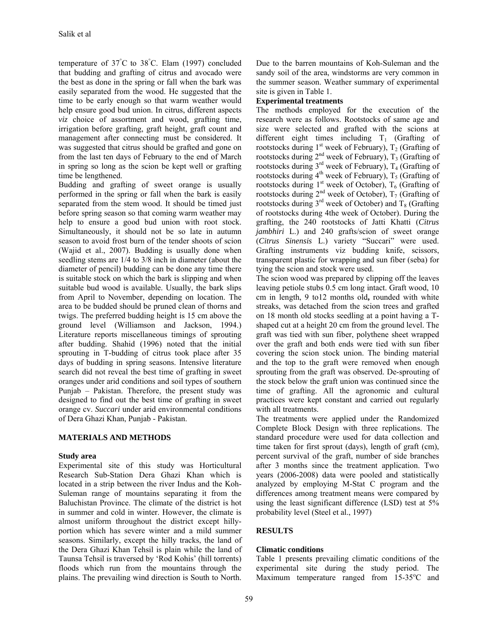temperature of 37° C to 38° C. Elam (1997) concluded that budding and grafting of citrus and avocado were the best as done in the spring or fall when the bark was easily separated from the wood. He suggested that the time to be early enough so that warm weather would help ensure good bud union. In citrus, different aspects *viz* choice of assortment and wood, grafting time, irrigation before grafting, graft height, graft count and management after connecting must be considered. It was suggested that citrus should be grafted and gone on from the last ten days of February to the end of March in spring so long as the scion be kept well or grafting time be lengthened.

Budding and grafting of sweet orange is usually performed in the spring or fall when the bark is easily separated from the stem wood. It should be timed just before spring season so that coming warm weather may help to ensure a good bud union with root stock. Simultaneously, it should not be so late in autumn season to avoid frost burn of the tender shoots of scion (Wajid et al., 2007). Budding is usually done when seedling stems are 1/4 to 3/8 inch in diameter (about the diameter of pencil) budding can be done any time there is suitable stock on which the bark is slipping and when suitable bud wood is available. Usually, the bark slips from April to November, depending on location. The area to be budded should be pruned clean of thorns and twigs. The preferred budding height is 15 cm above the ground level (Williamson and Jackson, 1994.) Literature reports miscellaneous timings of sprouting after budding. Shahid (1996) noted that the initial sprouting in T-budding of citrus took place after 35 days of budding in spring seasons. Intensive literature search did not reveal the best time of grafting in sweet oranges under arid conditions and soil types of southern Punjab – Pakistan. Therefore, the present study was designed to find out the best time of grafting in sweet orange cv. *Succari* under arid environmental conditions of Dera Ghazi Khan, Punjab - Pakistan.

# **MATERIALS AND METHODS**

# **Study area**

Experimental site of this study was Horticultural Research Sub-Station Dera Ghazi Khan which is located in a strip between the river Indus and the Koh-Suleman range of mountains separating it from the Baluchistan Province. The climate of the district is hot in summer and cold in winter. However, the climate is almost uniform throughout the district except hillyportion which has severe winter and a mild summer seasons. Similarly, except the hilly tracks, the land of the Dera Ghazi Khan Tehsil is plain while the land of Taunsa Tehsil is traversed by 'Rod Kohis' (hill torrents) floods which run from the mountains through the plains. The prevailing wind direction is South to North.

Due to the barren mountains of Koh-Suleman and the sandy soil of the area, windstorms are very common in the summer season. Weather summary of experimental site is given in Table 1.

## **Experimental treatments**

The methods employed for the execution of the research were as follows. Rootstocks of same age and size were selected and grafted with the scions at different eight times including  $T_1$  (Grafting of rootstocks during  $1<sup>st</sup>$  week of February),  $T_2$  (Grafting of rootstocks during  $2<sup>nd</sup>$  week of February),  $T_3$  (Grafting of rootstocks during  $3^{rd}$  week of February),  $T_4$  (Grafting of rootstocks during  $4^{\text{th}}$  week of February),  $T_5$  (Grafting of rootstocks during  $1<sup>st</sup>$  week of October),  $T<sub>6</sub>$  (Grafting of rootstocks during  $2<sup>nd</sup>$  week of October),  $T_7$  (Grafting of rootstocks during  $3<sup>rd</sup>$  week of October) and  $T_8$  (Grafting of rootstocks during 4the week of October). During the grafting, the 240 rootstocks of Jatti Khatti (*Citrus jambhiri* L.) and 240 grafts/scion of sweet orange (*Citrus Sinensis* L.) variety "Succari" were used. Grafting instruments viz budding knife, scissors, transparent plastic for wrapping and sun fiber (seba) for tying the scion and stock were used.

The scion wood was prepared by clipping off the leaves leaving petiole stubs 0.5 cm long intact. Graft wood, 10 cm in length, 9 to12 months old**,** rounded with white streaks, was detached from the scion trees and grafted on 18 month old stocks seedling at a point having a Tshaped cut at a height 20 cm from the ground level. The graft was tied with sun fiber, polythene sheet wrapped over the graft and both ends were tied with sun fiber covering the scion stock union. The binding material and the top to the graft were removed when enough sprouting from the graft was observed. De-sprouting of the stock below the graft union was continued since the time of grafting. All the agronomic and cultural practices were kept constant and carried out regularly with all treatments.

The treatments were applied under the Randomized Complete Block Design with three replications. The standard procedure were used for data collection and time taken for first sprout (days), length of graft (cm), percent survival of the graft, number of side branches after 3 months since the treatment application. Two years (2006-2008) data were pooled and statistically analyzed by employing M-Stat C program and the differences among treatment means were compared by using the least significant difference (LSD) test at 5% probability level (Steel et al., 1997)

# **RESULTS**

# **Climatic conditions**

Table 1 presents prevailing climatic conditions of the experimental site during the study period. The Maximum temperature ranged from 15-35°C and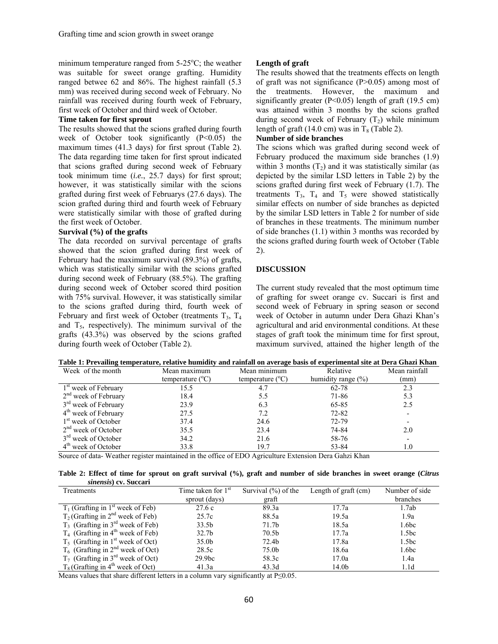minimum temperature ranged from  $5-25^{\circ}$ C; the weather was suitable for sweet orange grafting. Humidity ranged betwee 62 and 86%. The highest rainfall (5.3 mm) was received during second week of February. No rainfall was received during fourth week of February, first week of October and third week of October.

#### **Time taken for first sprout**

The results showed that the scions grafted during fourth week of October took significantly (P<0.05) the maximum times (41.3 days) for first sprout (Table 2). The data regarding time taken for first sprout indicated that scions grafted during second week of February took minimum time (*i.e.*, 25.7 days) for first sprout; however, it was statistically similar with the scions grafted during first week of Februarys (27.6 days). The scion grafted during third and fourth week of February were statistically similar with those of grafted during the first week of October.

#### **Survival (%) of the grafts**

The data recorded on survival percentage of grafts showed that the scion grafted during first week of February had the maximum survival (89.3%) of grafts, which was statistically similar with the scions grafted during second week of February (88.5%). The grafting during second week of October scored third position with 75% survival. However, it was statistically similar to the scions grafted during third, fourth week of February and first week of October (treatments  $T_3$ ,  $T_4$ and  $T<sub>5</sub>$ , respectively). The minimum survival of the grafts (43.3%) was observed by the scions grafted during fourth week of October (Table 2).

## **Length of graft**

The results showed that the treatments effects on length of graft was not significance  $(P>0.05)$  among most of the treatments. However, the maximum and significantly greater ( $P<0.05$ ) length of graft (19.5 cm) was attained within 3 months by the scions grafted during second week of February  $(T_2)$  while minimum length of graft (14.0 cm) was in  $T_8$  (Table 2).

#### **Number of side branches**

The scions which was grafted during second week of February produced the maximum side branches (1.9) within 3 months  $(T_2)$  and it was statistically similar (as depicted by the similar LSD letters in Table 2) by the scions grafted during first week of February (1.7). The treatments  $T_3$ ,  $T_4$  and  $T_5$  were showed statistically similar effects on number of side branches as depicted by the similar LSD letters in Table 2 for number of side of branches in these treatments. The minimum number of side branches (1.1) within 3 months was recorded by the scions grafted during fourth week of October (Table 2).

## **DISCUSSION**

The current study revealed that the most optimum time of grafting for sweet orange cv. Succari is first and second week of February in spring season or second week of October in autumn under Dera Ghazi Khan's agricultural and arid environmental conditions. At these stages of graft took the minimum time for first sprout, maximum survived, attained the higher length of the

|  |  |  |  |  | Table 1: Prevailing temperature, relative humidity and rainfall on average basis of experimental site at Dera Ghazi Khan |  |
|--|--|--|--|--|--------------------------------------------------------------------------------------------------------------------------|--|
|--|--|--|--|--|--------------------------------------------------------------------------------------------------------------------------|--|

| Week of the month                | Mean maximum              | Mean minimum              | Relative               | Mean rainfall            |
|----------------------------------|---------------------------|---------------------------|------------------------|--------------------------|
|                                  | temperature $(^{\circ}C)$ | temperature $(^{\circ}C)$ | humidity range $(\% )$ | (mm)                     |
| 1 <sup>st</sup> week of February | 15.5                      | 4.7                       | 62-78                  | 2.3                      |
| $2nd$ week of February           | 18.4                      | 5.5                       | 71-86                  | 5.3                      |
| $3rd$ week of February           | 23.9                      | 6.3                       | 65-85                  | 2.5                      |
| $4th$ week of February           | 27.5                      | 7.2                       | 72-82                  | $\overline{\phantom{0}}$ |
| 1 <sup>st</sup> week of October  | 37.4                      | 24.6                      | 72-79                  |                          |
| $2nd$ week of October            | 35.5                      | 23.4                      | 74-84                  | 2.0                      |
| $3rd$ week of October            | 34.2                      | 21.6                      | 58-76                  | $\overline{\phantom{0}}$ |
| $4th$ week of October            | 33.8                      | 19.7                      | 53-84                  | 1.0                      |

Source of data- Weather register maintained in the office of EDO Agriculture Extension Dera Gahzi Khan

| Table 2: Effect of time for sprout on graft survival (%), graft and number of side branches in sweet orange (Citrus |  |  |  |  |  |  |
|---------------------------------------------------------------------------------------------------------------------|--|--|--|--|--|--|
| <i>sinensis</i> ) cv. Succari                                                                                       |  |  |  |  |  |  |

| Treatments                                      | Time taken for $1st$ | Survival $(\% )$ of the | Length of graft (cm) | Number of side    |
|-------------------------------------------------|----------------------|-------------------------|----------------------|-------------------|
|                                                 | sprout (days)        | graft                   |                      | branches          |
| $T_1$ (Grafting in 1 <sup>st</sup> week of Feb) | 27.6c                | 89.3a                   | 17.7a                | 1.7ab             |
| $T_2$ (Grafting in 2 <sup>nd</sup> week of Feb) | 25.7c                | 88.5a                   | 19.5a                | 1.9a              |
| $T_3$ (Grafting in 3 <sup>rd</sup> week of Feb) | 33.5 <sub>b</sub>    | 71.7b                   | 18.5a                | 1.6 <sub>bc</sub> |
| $T_4$ (Grafting in 4 <sup>th</sup> week of Feb) | 32.7 <sub>b</sub>    | 70.5b                   | 17.7a                | 1.5 <sub>bc</sub> |
| $T_5$ (Grafting in 1 <sup>st</sup> week of Oct) | 35.0 <sub>b</sub>    | 72.4b                   | 17.8a                | 1.5 <sub>bc</sub> |
| $T_6$ (Grafting in 2 <sup>nd</sup> week of Oct) | 28.5c                | 75.0b                   | 18.6a                | 1.6 <sub>bc</sub> |
| $T_7$ (Grafting in 3 <sup>rd</sup> week of Oct) | 29.9 <sub>bc</sub>   | 58.3c                   | 17.0a                | 1.4a              |
| $T_8$ (Grafting in 4 <sup>th</sup> week of Oct) | 41.3a                | 43.3d                   | 14.0 <sub>b</sub>    | 1.1 <sub>d</sub>  |

Means values that share different letters in a column vary significantly at P≤0.05.